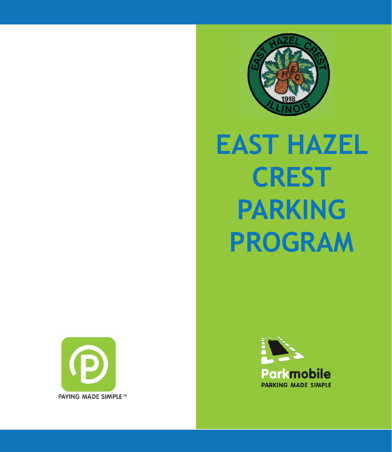

# **EAST HAZEL CREST PARKING PROGRAM**